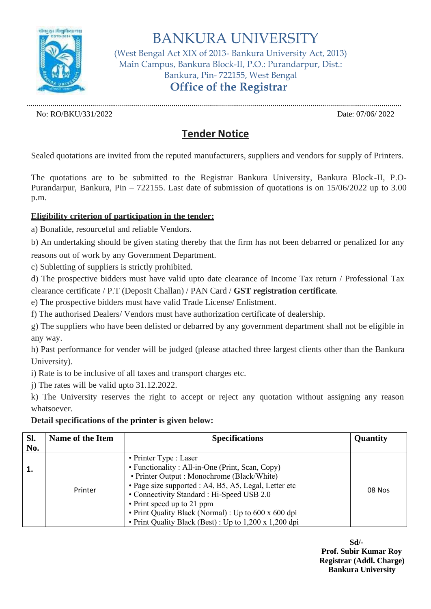

BANKURA UNIVERSITY

(West Bengal Act XIX of 2013- Bankura University Act, 2013) Main Campus, Bankura Block-II, P.O.: Purandarpur, Dist.: Bankura, Pin- 722155, West Bengal **Office of the Registrar**

............................................................................................................................................................................................. No: RO/BKU/331/2022 Date: 07/06/ 2022

## **Tender Notice**

Sealed quotations are invited from the reputed manufacturers, suppliers and vendors for supply of Printers.

The quotations are to be submitted to the Registrar Bankura University, Bankura Block-II, P.O-Purandarpur, Bankura, Pin – 722155. Last date of submission of quotations is on 15/06/2022 up to 3.00 p.m.

## **Eligibility criterion of participation in the tender:**

a) Bonafide, resourceful and reliable Vendors.

b) An undertaking should be given stating thereby that the firm has not been debarred or penalized for any reasons out of work by any Government Department.

c) Subletting of suppliers is strictly prohibited.

d) The prospective bidders must have valid upto date clearance of Income Tax return / Professional Tax clearance certificate / P.T (Deposit Challan) / PAN Card / **GST registration certificate**.

e) The prospective bidders must have valid Trade License/ Enlistment.

f) The authorised Dealers/ Vendors must have authorization certificate of dealership.

g) The suppliers who have been delisted or debarred by any government department shall not be eligible in any way.

h) Past performance for vender will be judged (please attached three largest clients other than the Bankura University).

i) Rate is to be inclusive of all taxes and transport charges etc.

j) The rates will be valid upto 31.12.2022.

k) The University reserves the right to accept or reject any quotation without assigning any reason whatsoever.

## **Detail specifications of the printer is given below:**

| Sl.<br>No. | Name of the Item | <b>Specifications</b>                                                                                                                                                                                                                                                                                                                                                            | Quantity |
|------------|------------------|----------------------------------------------------------------------------------------------------------------------------------------------------------------------------------------------------------------------------------------------------------------------------------------------------------------------------------------------------------------------------------|----------|
| 1.         | Printer          | • Printer Type : Laser<br>• Functionality : All-in-One (Print, Scan, Copy)<br>• Printer Output : Monochrome (Black/White)<br>· Page size supported : A4, B5, A5, Legal, Letter etc<br>• Connectivity Standard : Hi-Speed USB 2.0<br>• Print speed up to 21 ppm<br>• Print Quality Black (Normal) : Up to 600 x 600 dpi<br>• Print Quality Black (Best) : Up to 1,200 x 1,200 dpi | 08 Nos   |

 **Sd/- Prof. Subir Kumar Roy Registrar (Addl. Charge) Bankura University**